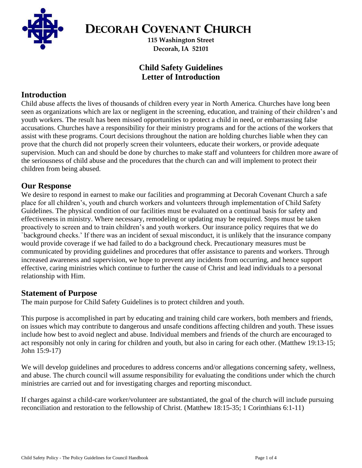

**DECORAH COVENANT CHURCH**

**115 Washington Street Decorah, IA 52101**

# **Child Safety Guidelines Letter of Introduction**

## **Introduction**

Child abuse affects the lives of thousands of children every year in North America. Churches have long been seen as organizations which are lax or negligent in the screening, education, and training of their children's and youth workers. The result has been missed opportunities to protect a child in need, or embarrassing false accusations. Churches have a responsibility for their ministry programs and for the actions of the workers that assist with these programs. Court decisions throughout the nation are holding churches liable when they can prove that the church did not properly screen their volunteers, educate their workers, or provide adequate supervision. Much can and should be done by churches to make staff and volunteers for children more aware of the seriousness of child abuse and the procedures that the church can and will implement to protect their children from being abused.

### **Our Response**

We desire to respond in earnest to make our facilities and programming at Decorah Covenant Church a safe place for all children's, youth and church workers and volunteers through implementation of Child Safety Guidelines. The physical condition of our facilities must be evaluated on a continual basis for safety and effectiveness in ministry. Where necessary, remodeling or updating may be required. Steps must be taken proactively to screen and to train children's and youth workers. Our insurance policy requires that we do `background checks.' If there was an incident of sexual misconduct, it is unlikely that the insurance company would provide coverage if we had failed to do a background check. Precautionary measures must be communicated by providing guidelines and procedures that offer assistance to parents and workers. Through increased awareness and supervision, we hope to prevent any incidents from occurring, and hence support effective, caring ministries which continue to further the cause of Christ and lead individuals to a personal relationship with Him.

### **Statement of Purpose**

The main purpose for Child Safety Guidelines is to protect children and youth.

This purpose is accomplished in part by educating and training child care workers, both members and friends, on issues which may contribute to dangerous and unsafe conditions affecting children and youth. These issues include how best to avoid neglect and abuse. Individual members and friends of the church are encouraged to act responsibly not only in caring for children and youth, but also in caring for each other. (Matthew 19:13-15; John 15:9-17)

We will develop guidelines and procedures to address concerns and/or allegations concerning safety, wellness, and abuse. The church council will assume responsibility for evaluating the conditions under which the church ministries are carried out and for investigating charges and reporting misconduct.

If charges against a child-care worker/volunteer are substantiated, the goal of the church will include pursuing reconciliation and restoration to the fellowship of Christ. (Matthew 18:15-35; 1 Corinthians 6:1-11)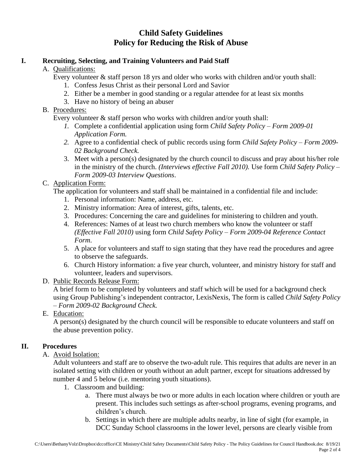# **Child Safety Guidelines Policy for Reducing the Risk of Abuse**

#### **I. Recruiting, Selecting, and Training Volunteers and Paid Staff**

A. Qualifications:

Every volunteer  $\&$  staff person 18 yrs and older who works with children and/or youth shall:

- 1. Confess Jesus Christ as their personal Lord and Savior
- 2. Either be a member in good standing or a regular attendee for at least six months
- 3. Have no history of being an abuser
- B. Procedures:

Every volunteer & staff person who works with children and/or youth shall:

- *1.* Complete a confidential application using form *Child Safety Policy – Form 2009-01 Application Form.*
- *2.* Agree to a confidential check of public records using form *Child Safety Policy – Form 2009- 02 Background Check.*
- 3. Meet with a person(s) designated by the church council to discuss and pray about his/her role in the ministry of the church. *(Interviews effective Fall 2010).* Use form *Child Safety Policy – Form 2009-03 Interview Questions*.

#### C. Application Form:

The application for volunteers and staff shall be maintained in a confidential file and include:

- 1. Personal information: Name, address, etc.
- 2. Ministry information: Area of interest, gifts, talents, etc.
- 3. Procedures: Concerning the care and guidelines for ministering to children and youth.
- 4. References: Names of at least two church members who know the volunteer or staff *(Effective Fall 2010)* using form *Child Safety Policy – Form 2009-04 Reference Contact Form*.
- 5. A place for volunteers and staff to sign stating that they have read the procedures and agree to observe the safeguards.
- 6. Church History information: a five year church, volunteer, and ministry history for staff and volunteer, leaders and supervisors.

### D. Public Records Release Form:

A brief form to be completed by volunteers and staff which will be used for a background check using Group Publishing's independent contractor, LexisNexis, The form is called *Child Safety Policy – Form 2009-02 Background Check.*

E. Education:

A person(s) designated by the church council will be responsible to educate volunteers and staff on the abuse prevention policy.

### **II. Procedures**

A. Avoid Isolation:

Adult volunteers and staff are to observe the two-adult rule. This requires that adults are never in an isolated setting with children or youth without an adult partner, except for situations addressed by number 4 and 5 below (i.e. mentoring youth situations).

- 1. Classroom and building:
	- a. There must always be two or more adults in each location where children or youth are present. This includes such settings as after-school programs, evening programs, and children's church.
	- b. Settings in which there are multiple adults nearby, in line of sight (for example, in DCC Sunday School classrooms in the lower level, persons are clearly visible from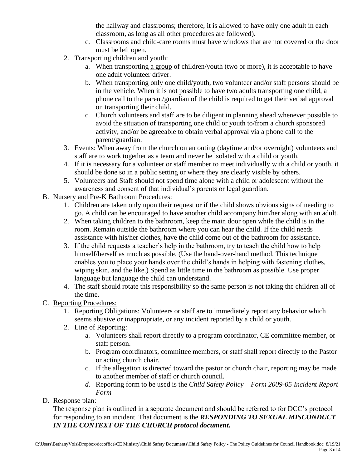the hallway and classrooms; therefore, it is allowed to have only one adult in each classroom, as long as all other procedures are followed).

- c. Classrooms and child-care rooms must have windows that are not covered or the door must be left open.
- 2. Transporting children and youth:
	- a. When transporting a group of children/youth (two or more), it is acceptable to have one adult volunteer driver.
	- b. When transporting only one child/youth, two volunteer and/or staff persons should be in the vehicle. When it is not possible to have two adults transporting one child, a phone call to the parent/guardian of the child is required to get their verbal approval on transporting their child.
	- c. Church volunteers and staff are to be diligent in planning ahead whenever possible to avoid the situation of transporting one child or youth to/from a church sponsored activity, and/or be agreeable to obtain verbal approval via a phone call to the parent/guardian.
- 3. Events: When away from the church on an outing (daytime and/or overnight) volunteers and staff are to work together as a team and never be isolated with a child or youth.
- 4. If it is necessary for a volunteer or staff member to meet individually with a child or youth, it should be done so in a public setting or where they are clearly visible by others.
- 5. Volunteers and Staff should not spend time alone with a child or adolescent without the awareness and consent of that individual's parents or legal guardian.
- B. Nursery and Pre-K Bathroom Procedures:
	- 1. Children are taken only upon their request or if the child shows obvious signs of needing to go. A child can be encouraged to have another child accompany him/her along with an adult.
	- 2. When taking children to the bathroom, keep the main door open while the child is in the room. Remain outside the bathroom where you can hear the child. If the child needs assistance with his/her clothes, have the child come out of the bathroom for assistance.
	- 3. If the child requests a teacher's help in the bathroom, try to teach the child how to help himself/herself as much as possible. (Use the hand-over-hand method. This technique enables you to place your hands over the child's hands in helping with fastening clothes, wiping skin, and the like.) Spend as little time in the bathroom as possible. Use proper language but language the child can understand.
	- 4. The staff should rotate this responsibility so the same person is not taking the children all of the time.
- C. Reporting Procedures:
	- 1. Reporting Obligations: Volunteers or staff are to immediately report any behavior which seems abusive or inappropriate, or any incident reported by a child or youth.
	- 2. Line of Reporting:
		- a. Volunteers shall report directly to a program coordinator, CE committee member, or staff person.
		- b. Program coordinators, committee members, or staff shall report directly to the Pastor or acting church chair.
		- c. If the allegation is directed toward the pastor or church chair, reporting may be made to another member of staff or church council.
		- *d.* Reporting form to be used is the *Child Safety Policy – Form 2009-05 Incident Report Form*
- D. Response plan:

The response plan is outlined in a separate document and should be referred to for DCC's protocol for responding to an incident. That document is the *RESPONDING TO SEXUAL MISCONDUCT IN THE CONTEXT OF THE CHURCH protocol document.*